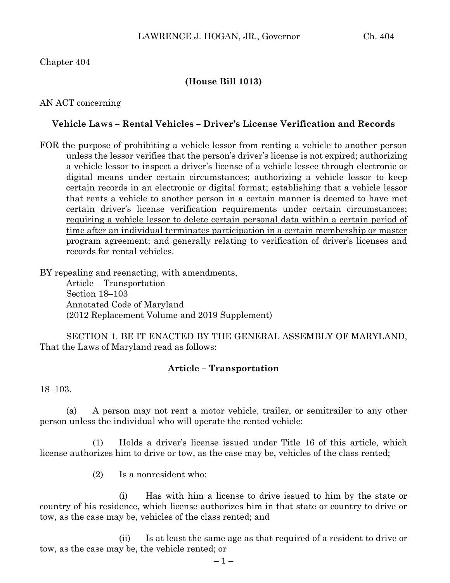### Chapter 404

### **(House Bill 1013)**

AN ACT concerning

#### **Vehicle Laws – Rental Vehicles – Driver's License Verification and Records**

FOR the purpose of prohibiting a vehicle lessor from renting a vehicle to another person unless the lessor verifies that the person's driver's license is not expired; authorizing a vehicle lessor to inspect a driver's license of a vehicle lessee through electronic or digital means under certain circumstances; authorizing a vehicle lessor to keep certain records in an electronic or digital format; establishing that a vehicle lessor that rents a vehicle to another person in a certain manner is deemed to have met certain driver's license verification requirements under certain circumstances; requiring a vehicle lessor to delete certain personal data within a certain period of time after an individual terminates participation in a certain membership or master program agreement; and generally relating to verification of driver's licenses and records for rental vehicles.

BY repealing and reenacting, with amendments,

Article – Transportation Section 18–103 Annotated Code of Maryland (2012 Replacement Volume and 2019 Supplement)

SECTION 1. BE IT ENACTED BY THE GENERAL ASSEMBLY OF MARYLAND, That the Laws of Maryland read as follows:

#### **Article – Transportation**

18–103.

(a) A person may not rent a motor vehicle, trailer, or semitrailer to any other person unless the individual who will operate the rented vehicle:

(1) Holds a driver's license issued under Title 16 of this article, which license authorizes him to drive or tow, as the case may be, vehicles of the class rented;

(2) Is a nonresident who:

(i) Has with him a license to drive issued to him by the state or country of his residence, which license authorizes him in that state or country to drive or tow, as the case may be, vehicles of the class rented; and

(ii) Is at least the same age as that required of a resident to drive or tow, as the case may be, the vehicle rented; or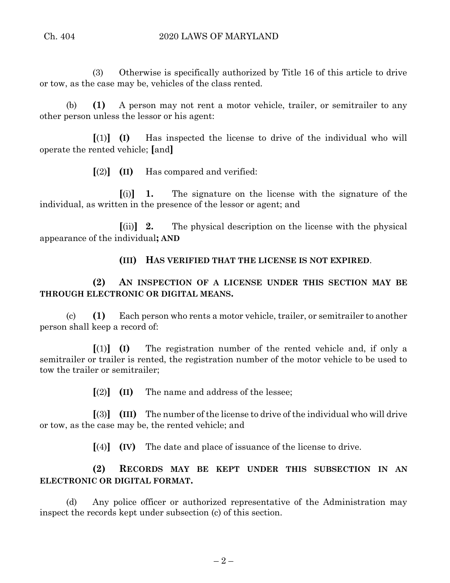(3) Otherwise is specifically authorized by Title 16 of this article to drive or tow, as the case may be, vehicles of the class rented.

(b) **(1)** A person may not rent a motor vehicle, trailer, or semitrailer to any other person unless the lessor or his agent:

**[**(1)**] (I)** Has inspected the license to drive of the individual who will operate the rented vehicle; **[**and**]**

**[**(2)**] (II)** Has compared and verified:

**[**(i)**] 1.** The signature on the license with the signature of the individual, as written in the presence of the lessor or agent; and

**[**(ii)**] 2.** The physical description on the license with the physical appearance of the individual**; AND**

**(III) HAS VERIFIED THAT THE LICENSE IS NOT EXPIRED**.

**(2) AN INSPECTION OF A LICENSE UNDER THIS SECTION MAY BE THROUGH ELECTRONIC OR DIGITAL MEANS.**

(c) **(1)** Each person who rents a motor vehicle, trailer, or semitrailer to another person shall keep a record of:

**[**(1)**] (I)** The registration number of the rented vehicle and, if only a semitrailer or trailer is rented, the registration number of the motor vehicle to be used to tow the trailer or semitrailer;

**[**(2)**] (II)** The name and address of the lessee;

**[**(3)**] (III)** The number of the license to drive of the individual who will drive or tow, as the case may be, the rented vehicle; and

**[**(4)**] (IV)** The date and place of issuance of the license to drive.

# **(2) RECORDS MAY BE KEPT UNDER THIS SUBSECTION IN AN ELECTRONIC OR DIGITAL FORMAT.**

(d) Any police officer or authorized representative of the Administration may inspect the records kept under subsection (c) of this section.